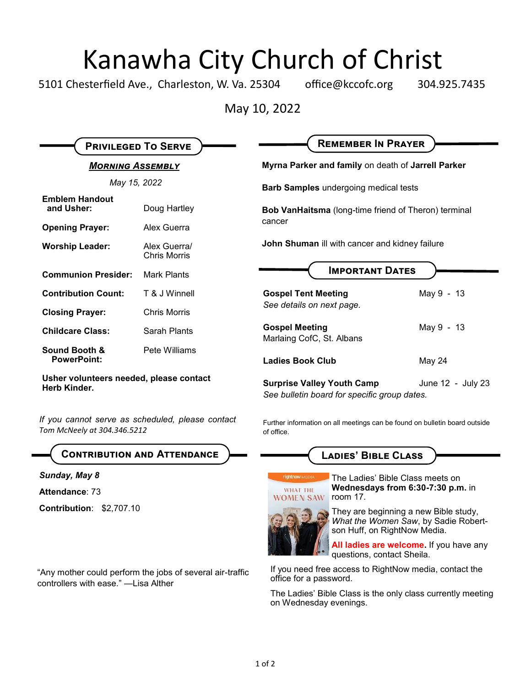## Kanawha City Church of Christ

5101 Chesterfield Ave., Charleston, W. Va. 25304 office@kccofc.org 304.925.7435

May 10, 2022

| <b>PRIVILEGED TO SERVE</b>                              |                                     | <b>REMEMBER IN PRAYER</b>                                                         |                   |
|---------------------------------------------------------|-------------------------------------|-----------------------------------------------------------------------------------|-------------------|
| <b>MORNING ASSEMBLY</b>                                 |                                     | Myrna Parker and family on death of Jarrell Parker                                |                   |
| May 15, 2022                                            |                                     | <b>Barb Samples</b> undergoing medical tests                                      |                   |
| <b>Emblem Handout</b><br>and Usher:                     | Doug Hartley                        | <b>Bob VanHaitsma</b> (long-time friend of Theron) terminal<br>cancer             |                   |
| <b>Opening Prayer:</b>                                  | Alex Guerra                         |                                                                                   |                   |
| <b>Worship Leader:</b>                                  | Alex Guerral<br><b>Chris Morris</b> | John Shuman ill with cancer and kidney failure                                    |                   |
| <b>Communion Presider:</b>                              | Mark Plants                         | <b>IMPORTANT DATES</b>                                                            |                   |
| <b>Contribution Count:</b>                              | T & J Winnell                       | <b>Gospel Tent Meeting</b><br>See details on next page.                           | May 9 - 13        |
| <b>Closing Prayer:</b>                                  | <b>Chris Morris</b>                 |                                                                                   |                   |
| <b>Childcare Class:</b>                                 | Sarah Plants                        | <b>Gospel Meeting</b><br>Marlaing CofC, St. Albans                                | May 9 - 13        |
| <b>Sound Booth &amp;</b><br><b>PowerPoint:</b>          | Pete Williams                       | <b>Ladies Book Club</b>                                                           | May 24            |
| Usher volunteers needed, please contact<br>Herb Kinder. |                                     | <b>Surprise Valley Youth Camp</b><br>See bulletin board for specific group dates. | June 12 - July 23 |

*If you cannot serve as scheduled, please contact Tom McNeely at 304.346.5212*

#### **Contribution and Attendance**

#### *Sunday, May 8*

**Attendance**: 73

**Contribution**: \$2,707.10

"Any mother could perform the jobs of several air-traffic controllers with ease." —Lisa Alther

Further information on all meetings can be found on bulletin board outside of office.

### **Ladies' Bible Class**



The Ladies' Bible Class meets on **Wednesdays from 6:30-7:30 p.m.** in room 17.

They are beginning a new Bible study, *What the Women Saw*, by Sadie Robertson Huff, on RightNow Media.

**All ladies are welcome.** If you have any questions, contact Sheila.

If you need free access to RightNow media, contact the office for a password.

The Ladies' Bible Class is the only class currently meeting on Wednesday evenings.